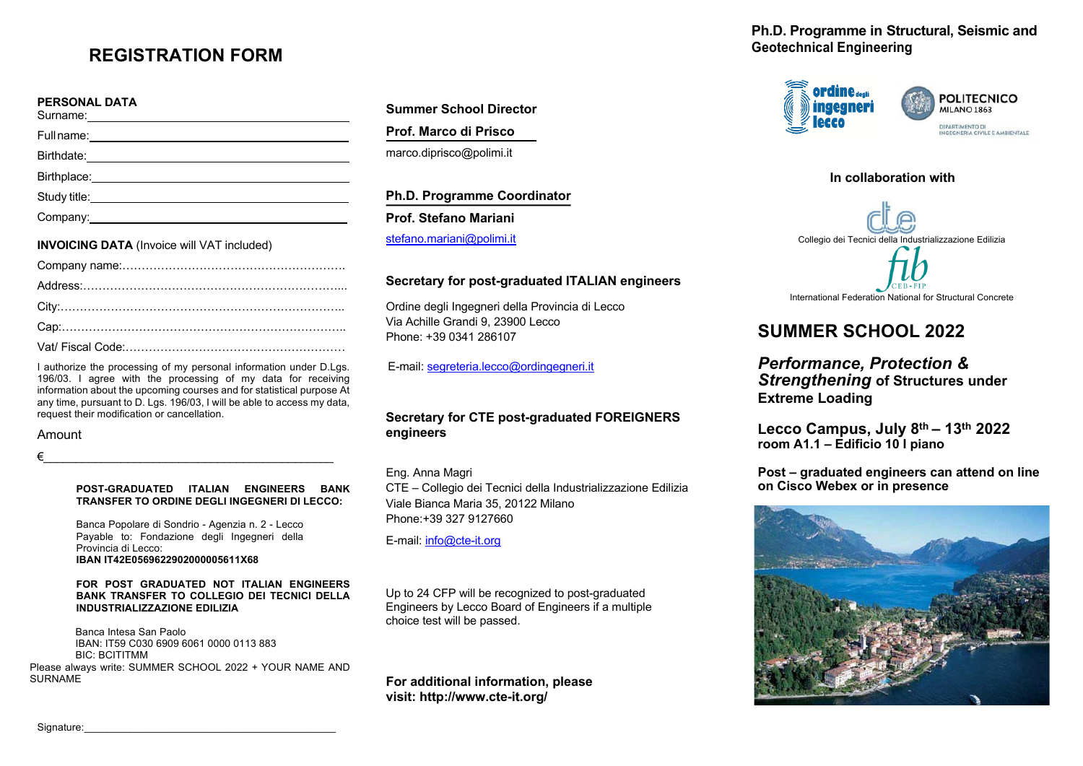# **REGISTRATION FORM**

## **PERSONAL DATA**

| Study title: <u>with the contract of the contract of the contract of the contract of the contract of the contract of the contract of the contract of the contract of the contract of the contract of the contract of the contrac</u> |
|--------------------------------------------------------------------------------------------------------------------------------------------------------------------------------------------------------------------------------------|
|                                                                                                                                                                                                                                      |
|                                                                                                                                                                                                                                      |

#### **INVOICING DATA** (Invoice will VAT included)

I authorize the processing of my personal information under D.Lgs. 196/03. I agree with the processing of my data for receiving information about the upcoming courses and for statistical purpose At any time, pursuant to D. Lgs. 196/03, I will be able to access my data, request their modification or cancellation.

## Amount

€\_\_\_\_\_\_\_\_\_\_\_\_\_\_\_\_\_\_\_\_\_\_\_\_\_\_\_\_\_\_\_\_\_\_\_\_\_\_\_\_\_\_\_\_\_

#### **POST-GRADUATED ITALIAN ENGINEERS BANK TRANSFER TO ORDINE DEGLI INGEGNERI DI LECCO:**

Banca Popolare di Sondrio - Agenzia n. 2 - Lecco Payable to: Fondazione degli Ingegneri della Provincia di Lecco: **IBAN IT42E0569622902000005611X68**

#### **FOR POST GRADUATED NOT ITALIAN ENGINEERS BANK TRANSFER TO COLLEGIO DEI TECNICI DELLA INDUSTRIALIZZAZIONE EDILIZIA**

Banca Intesa San Paolo IBAN: IT59 C030 6909 6061 0000 0113 883 BIC: BCITITMM Please always write: SUMMER SCHOOL 2022 + YOUR NAME AND

SURNAME

**Summer School Director Prof. Marco di Prisco**  marco.diprisco@polimi.it

**Ph.D. Programme Coordinator Prof. Stefano Mariani** stefano.mariani@polimi.it

## **Secretary for post-graduated ITALIAN engineers**

Ordine degli Ingegneri della Provincia di Lecco Via Achille Grandi 9, 23900 Lecco Phone: +39 0341 286107

E-mail: segreteria.lecco@ordingegneri.it

## **Secretary for CTE post-graduated FOREIGNERS engineers**

## Eng. Anna Magri

CTE – Collegio dei Tecnici della Industrializzazione Edilizia Viale Bianca Maria 35, 20122 Milano Phone:+39 327 9127660

E-mail: info@cte-it.org

Up to 24 CFP will be recognized to post-graduated Engineers by Lecco Board of Engineers if a multiple choice test will be passed.

**For additional information, please visit: http://www.cte-it.org/**

**Ph.D. Programme in Structural, Seismic and Geotechnical Engineering**



# **In collaboration with** Collegio dei Tecnici della Industrializzazione Edilizia International Federation National for Structural Concrete

# **SUMMER SCHOOL 2022**

*Performance, Protection & Strengthening* **of Structures under Extreme Loading**

**Lecco Campus, July 8th – 13th 2022 room A1.1 – Edificio 10 I piano**

**Post – graduated engineers can attend on line on Cisco Webex or in presence**